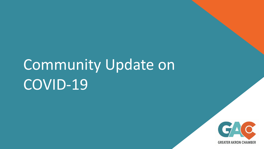# Community Update on COVID-19

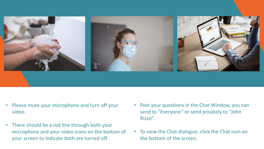

- Please mute your microphone and turn off your video.
- There should be a red line through both your microphone and your video icons on the bottom of your screen to indicate both are turned off.
- Post your questions in the Chat Window, you can send to "Everyone" or send privately to "John Rizzo".
- To view the Chat dialogue, click the Chat icon on the bottom of the screen.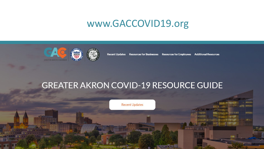## www.GACCOVID19.org



**Recent Updates** Resources for Businesses Resources for Employees Additional Resources

联示

### **GREATER AKRON COVID-19 RESOURCE GUIDE**

**Recent Updates**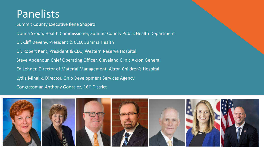# Panelists

Summit County Executive Ilene Shapiro

Donna Skoda, Health Commissioner, Summit County Public Health Department Dr. Cliff Deveny, President & CEO, Summa Health Dr. Robert Kent, President & CEO, Western Reserve Hospital Steve Abdenour, Chief Operating Officer, Cleveland Clinic Akron General Ed Lehner, Director of Material Management, Akron Children's Hospital Lydia Mihalik, Director, Ohio Development Services Agency Congressman Anthony Gonzalez, 16th District